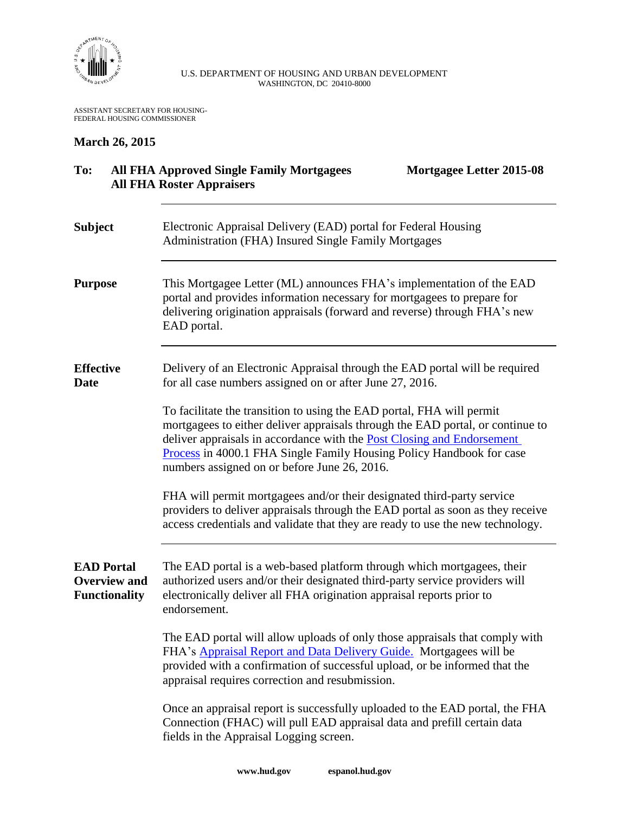

## U.S. DEPARTMENT OF HOUSING AND URBAN DEVELOPMENT WASHINGTON, DC 20410-8000

ASSISTANT SECRETARY FOR HOUSING-FEDERAL HOUSING COMMISSIONER

## **March 26, 2015**

| To:                                                              | <b>All FHA Approved Single Family Mortgagees</b><br>Mortgagee Letter 2015-08<br><b>All FHA Roster Appraisers</b>                                                                                                                                                                                                                                                 |
|------------------------------------------------------------------|------------------------------------------------------------------------------------------------------------------------------------------------------------------------------------------------------------------------------------------------------------------------------------------------------------------------------------------------------------------|
| <b>Subject</b>                                                   | Electronic Appraisal Delivery (EAD) portal for Federal Housing<br>Administration (FHA) Insured Single Family Mortgages                                                                                                                                                                                                                                           |
| <b>Purpose</b>                                                   | This Mortgagee Letter (ML) announces FHA's implementation of the EAD<br>portal and provides information necessary for mortgagees to prepare for<br>delivering origination appraisals (forward and reverse) through FHA's new<br>EAD portal.                                                                                                                      |
| <b>Effective</b><br><b>Date</b>                                  | Delivery of an Electronic Appraisal through the EAD portal will be required<br>for all case numbers assigned on or after June 27, 2016.                                                                                                                                                                                                                          |
|                                                                  | To facilitate the transition to using the EAD portal, FHA will permit<br>mortgagees to either deliver appraisals through the EAD portal, or continue to<br>deliver appraisals in accordance with the <b>Post Closing and Endorsement</b><br>Process in 4000.1 FHA Single Family Housing Policy Handbook for case<br>numbers assigned on or before June 26, 2016. |
|                                                                  | FHA will permit mortgagees and/or their designated third-party service<br>providers to deliver appraisals through the EAD portal as soon as they receive<br>access credentials and validate that they are ready to use the new technology.                                                                                                                       |
| <b>EAD Portal</b><br><b>Overview and</b><br><b>Functionality</b> | The EAD portal is a web-based platform through which mortgagees, their<br>authorized users and/or their designated third-party service providers will<br>electronically deliver all FHA origination appraisal reports prior to<br>endorsement.                                                                                                                   |
|                                                                  | The EAD portal will allow uploads of only those appraisals that comply with<br>FHA's <b>Appraisal Report and Data Delivery Guide</b> . Mortgagees will be<br>provided with a confirmation of successful upload, or be informed that the<br>appraisal requires correction and resubmission.                                                                       |
|                                                                  | Once an appraisal report is successfully uploaded to the EAD portal, the FHA<br>Connection (FHAC) will pull EAD appraisal data and prefill certain data<br>fields in the Appraisal Logging screen.                                                                                                                                                               |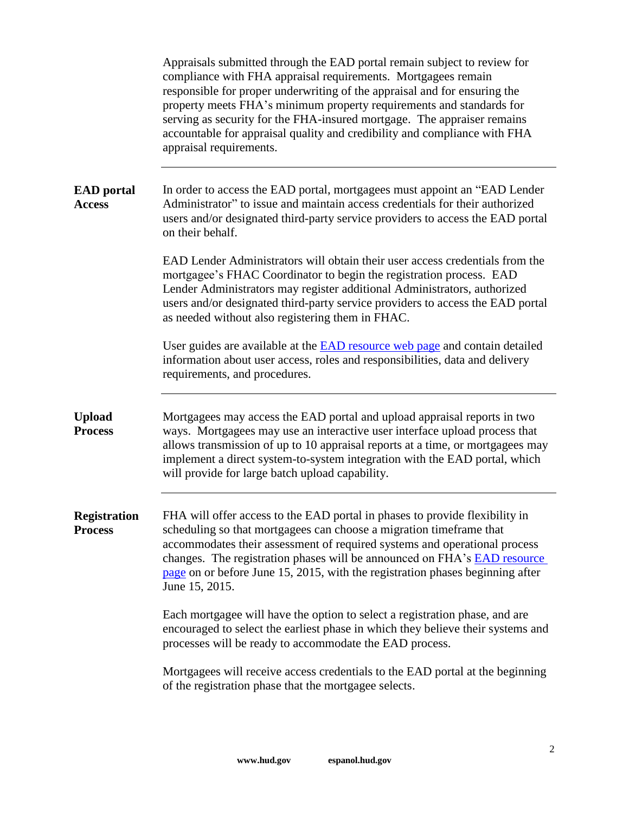|                                       | Appraisals submitted through the EAD portal remain subject to review for<br>compliance with FHA appraisal requirements. Mortgagees remain<br>responsible for proper underwriting of the appraisal and for ensuring the<br>property meets FHA's minimum property requirements and standards for<br>serving as security for the FHA-insured mortgage. The appraiser remains<br>accountable for appraisal quality and credibility and compliance with FHA<br>appraisal requirements. |
|---------------------------------------|-----------------------------------------------------------------------------------------------------------------------------------------------------------------------------------------------------------------------------------------------------------------------------------------------------------------------------------------------------------------------------------------------------------------------------------------------------------------------------------|
| <b>EAD</b> portal<br><b>Access</b>    | In order to access the EAD portal, mortgagees must appoint an "EAD Lender"<br>Administrator" to issue and maintain access credentials for their authorized<br>users and/or designated third-party service providers to access the EAD portal<br>on their behalf.                                                                                                                                                                                                                  |
|                                       | EAD Lender Administrators will obtain their user access credentials from the<br>mortgagee's FHAC Coordinator to begin the registration process. EAD<br>Lender Administrators may register additional Administrators, authorized<br>users and/or designated third-party service providers to access the EAD portal<br>as needed without also registering them in FHAC.                                                                                                             |
|                                       | User guides are available at the <b>EAD</b> resource web page and contain detailed<br>information about user access, roles and responsibilities, data and delivery<br>requirements, and procedures.                                                                                                                                                                                                                                                                               |
| <b>Upload</b><br><b>Process</b>       | Mortgagees may access the EAD portal and upload appraisal reports in two<br>ways. Mortgagees may use an interactive user interface upload process that<br>allows transmission of up to 10 appraisal reports at a time, or mortgagees may<br>implement a direct system-to-system integration with the EAD portal, which<br>will provide for large batch upload capability.                                                                                                         |
| <b>Registration</b><br><b>Process</b> | FHA will offer access to the EAD portal in phases to provide flexibility in<br>scheduling so that mortgagees can choose a migration timeframe that<br>accommodates their assessment of required systems and operational process<br>changes. The registration phases will be announced on FHA's <b>EAD</b> resource<br>page on or before June 15, 2015, with the registration phases beginning after<br>June 15, 2015.                                                             |
|                                       | Each mortgagee will have the option to select a registration phase, and are<br>encouraged to select the earliest phase in which they believe their systems and<br>processes will be ready to accommodate the EAD process.                                                                                                                                                                                                                                                         |
|                                       | Mortgagees will receive access credentials to the EAD portal at the beginning<br>of the registration phase that the mortgagee selects.                                                                                                                                                                                                                                                                                                                                            |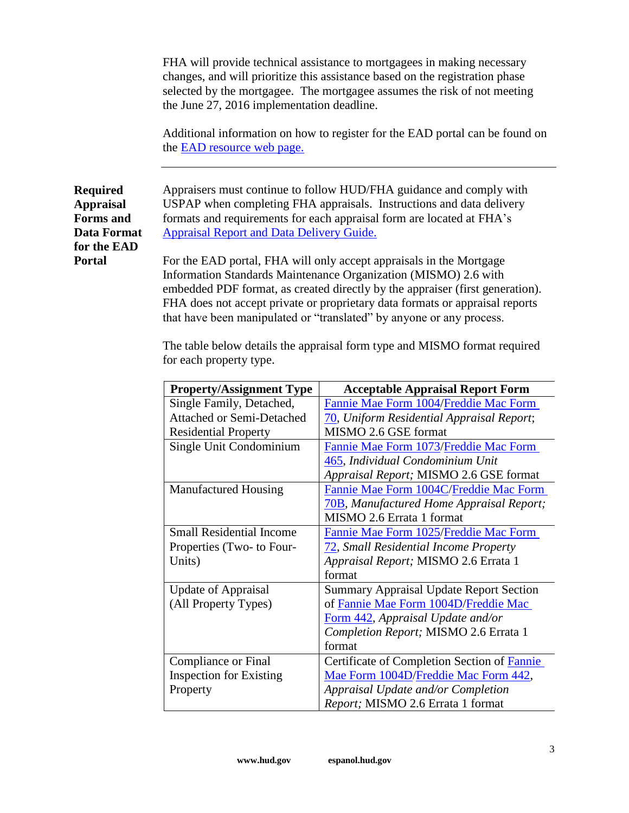FHA will provide technical assistance to mortgagees in making necessary changes, and will prioritize this assistance based on the registration phase selected by the mortgagee. The mortgagee assumes the risk of not meeting the June 27, 2016 implementation deadline.

Additional information on how to register for the EAD portal can be found on the [EAD resource web page.](http://portal.hud.gov/hudportal/HUD?src=/program_offices/housing/sfh/lender/origination/ead)

**Data Format** Appraisers must continue to follow HUD/FHA guidance and comply with USPAP when completing FHA appraisals. Instructions and data delivery formats and requirements for each appraisal form are located at FHA's [Appraisal Report and Data Delivery Guide.](http://portal.hud.gov/hudportal/documents/huddoc?id=SFH_POLI_APPR_RPT_FIN.PDF)

**Required Appraisal Forms and** 

**for the EAD** 

**Portal**

For the EAD portal, FHA will only accept appraisals in the Mortgage Information Standards Maintenance Organization (MISMO) 2.6 with embedded PDF format, as created directly by the appraiser (first generation). FHA does not accept private or proprietary data formats or appraisal reports that have been manipulated or "translated" by anyone or any process.

The table below details the appraisal form type and MISMO format required for each property type.

| <b>Property/Assignment Type</b>  | <b>Acceptable Appraisal Report Form</b>          |
|----------------------------------|--------------------------------------------------|
| Single Family, Detached,         | Fannie Mae Form 1004/Freddie Mac Form            |
| <b>Attached or Semi-Detached</b> | 70, Uniform Residential Appraisal Report;        |
| <b>Residential Property</b>      | MISMO 2.6 GSE format                             |
| Single Unit Condominium          | Fannie Mae Form 1073/Freddie Mac Form            |
|                                  | 465, Individual Condominium Unit                 |
|                                  | Appraisal Report; MISMO 2.6 GSE format           |
| <b>Manufactured Housing</b>      | Fannie Mae Form 1004C/Freddie Mac Form           |
|                                  | <b>70B</b> , Manufactured Home Appraisal Report; |
|                                  | MISMO 2.6 Errata 1 format                        |
| <b>Small Residential Income</b>  | Fannie Mae Form 1025/Freddie Mac Form            |
| Properties (Two- to Four-        | 72, Small Residential Income Property            |
| Units)                           | Appraisal Report; MISMO 2.6 Errata 1             |
|                                  | format                                           |
| <b>Update of Appraisal</b>       | <b>Summary Appraisal Update Report Section</b>   |
| (All Property Types)             | of Fannie Mae Form 1004D/Freddie Mac             |
|                                  | Form 442, Appraisal Update and/or                |
|                                  | Completion Report; MISMO 2.6 Errata 1            |
|                                  | format                                           |
| Compliance or Final              | Certificate of Completion Section of Fannie      |
| <b>Inspection for Existing</b>   | Mae Form 1004D/Freddie Mac Form 442,             |
| Property                         | Appraisal Update and/or Completion               |
|                                  | Report; MISMO 2.6 Errata 1 format                |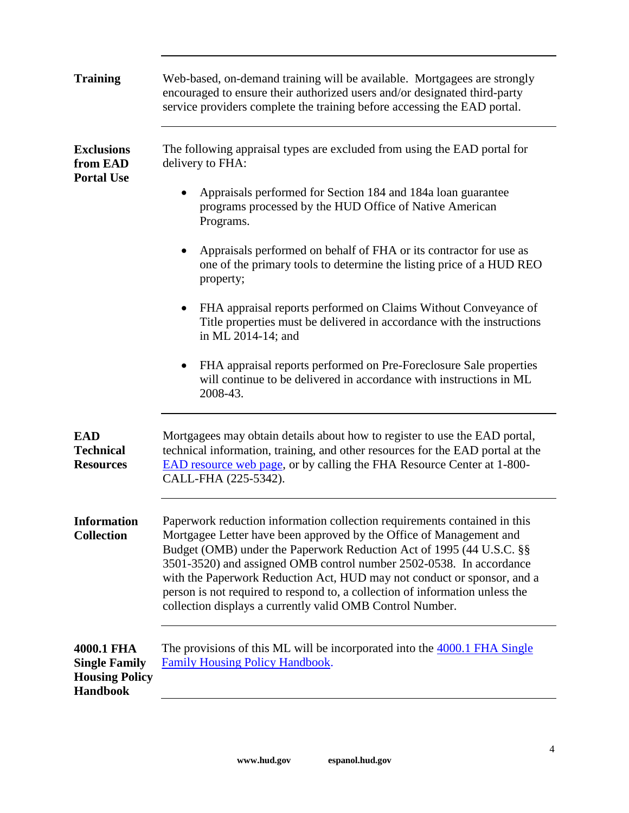| <b>Training</b>                                                                | Web-based, on-demand training will be available. Mortgagees are strongly<br>encouraged to ensure their authorized users and/or designated third-party<br>service providers complete the training before accessing the EAD portal.                                                                                                                                                                                                                                                                                       |
|--------------------------------------------------------------------------------|-------------------------------------------------------------------------------------------------------------------------------------------------------------------------------------------------------------------------------------------------------------------------------------------------------------------------------------------------------------------------------------------------------------------------------------------------------------------------------------------------------------------------|
| <b>Exclusions</b><br>from EAD<br><b>Portal Use</b>                             | The following appraisal types are excluded from using the EAD portal for<br>delivery to FHA:                                                                                                                                                                                                                                                                                                                                                                                                                            |
|                                                                                | Appraisals performed for Section 184 and 184a loan guarantee<br>programs processed by the HUD Office of Native American<br>Programs.                                                                                                                                                                                                                                                                                                                                                                                    |
|                                                                                | Appraisals performed on behalf of FHA or its contractor for use as<br>one of the primary tools to determine the listing price of a HUD REO<br>property;                                                                                                                                                                                                                                                                                                                                                                 |
|                                                                                | FHA appraisal reports performed on Claims Without Conveyance of<br>Title properties must be delivered in accordance with the instructions<br>in ML 2014-14; and                                                                                                                                                                                                                                                                                                                                                         |
|                                                                                | FHA appraisal reports performed on Pre-Foreclosure Sale properties<br>will continue to be delivered in accordance with instructions in ML<br>2008-43.                                                                                                                                                                                                                                                                                                                                                                   |
| <b>EAD</b><br><b>Technical</b><br><b>Resources</b>                             | Mortgagees may obtain details about how to register to use the EAD portal,<br>technical information, training, and other resources for the EAD portal at the<br><b>EAD</b> resource web page, or by calling the FHA Resource Center at 1-800-<br>CALL-FHA (225-5342).                                                                                                                                                                                                                                                   |
| <b>Information</b><br><b>Collection</b>                                        | Paperwork reduction information collection requirements contained in this<br>Mortgagee Letter have been approved by the Office of Management and<br>Budget (OMB) under the Paperwork Reduction Act of 1995 (44 U.S.C. §§<br>3501-3520) and assigned OMB control number 2502-0538. In accordance<br>with the Paperwork Reduction Act, HUD may not conduct or sponsor, and a<br>person is not required to respond to, a collection of information unless the<br>collection displays a currently valid OMB Control Number. |
| 4000.1 FHA<br><b>Single Family</b><br><b>Housing Policy</b><br><b>Handbook</b> | The provisions of this ML will be incorporated into the 4000.1 FHA Single<br><b>Family Housing Policy Handbook.</b>                                                                                                                                                                                                                                                                                                                                                                                                     |